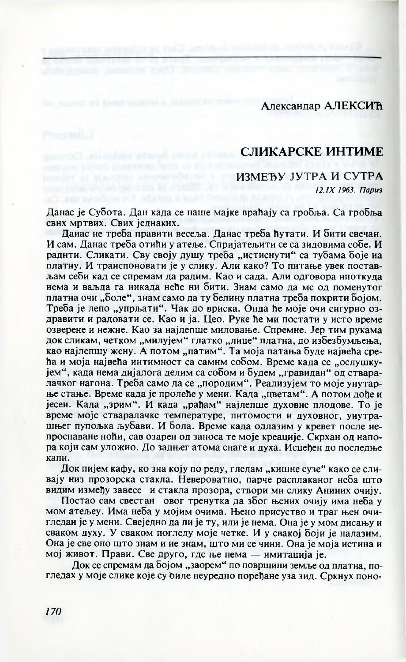Александар АЛЕКСИЋ

## СЛИКАРСКЕ ИНТИМЕ

## ИЗМЕЂУ ЈУТРА И СУТРА 12.IX 1963. Париз

Данас је Субота. Дан када се наше мајке враћају са гробља. Са гробља свих мртвих. Свих једнаких.

Даиас не треба правити весеља. Данас треба ћутати. И бити свечан. И сам. Данас треба отићи у атеље. Спријатељити се са зидовима собе. И раднти. Сликати. Сву своју душу треба "истиснути" са тубама боје на платну. И транспоновати је у слику. Али како? То питање увек постављам себи кад се спремам да радим. Као и сада. Али одговора ниоткуда нема и ваљда га иикада неће ни бити. Знам само да ме од поменутог платна очи "боле", знам само да ту белину платна треба покрити бојом. Треба је лепо "упрљати". Чак до вриска. Онда ће моје очи сигурно оздравити и радовати се. Као и ја. Цео. Руке ће ми постати у исто време озверене и нежне. Као за најлепше миловање. Спремне. Јер тим рукама док сликам, четком "милујем" глатко "лице" платна, до избезбумљења, као најлепшу жену. А потом "патим". Та моја патања буде највећа срећа и моја највећа интимност са самнм собом. Време када се "ослушкујем", када нема дијалога делим са собом и будем "гравидан" од стваралачког нагона. Треба само да се "породим". Реализујем то моје унутарње стање. Време када је пролеће у мени. Када "цветам". А потом дође и јесен. Када "зрим". И када "рађам" најлепше духовне плодове. То је време моје стваралачке температуре, питомости и духовног, унутрашњег пупољка љубави. И бола. Време када одлазим у кревет после непроспаване ноћи, сав озарен од заноса те моје креације. Скрхан од напора који сам уложио. До задњег атома снаге и духа. Исцеђен до последње капи.

Док пијем кафу, ко зна коју по реду, гледам "кишне сузе" како се сливају низ прозорска стакла. Невероватно, парче расплаканог неба што видим између завесе и стакла прозора, створи ми слику Аниних очију.

Постао сам свестан овог тренутка да због њених очију има неба у мом атељеу. Има неба у мојим очима. Њено присуство и траг њен очигледан је у мени. Свеједно да ли је ту, или је нема. Она је у мом дисању и сваком духу. У сваком погледу моје четке. И у свакој боји је налазим. Она је све оно што знам и ие знам, што ми се чини. Она је моја истина и мој живот. Прави. Све друго, где ње нема — имитација је.

Док се спремам да бојом "заорем" по површини земље од платна, погледах у моје слике које су оиле неуредно поређане уза зид. Сркнух поно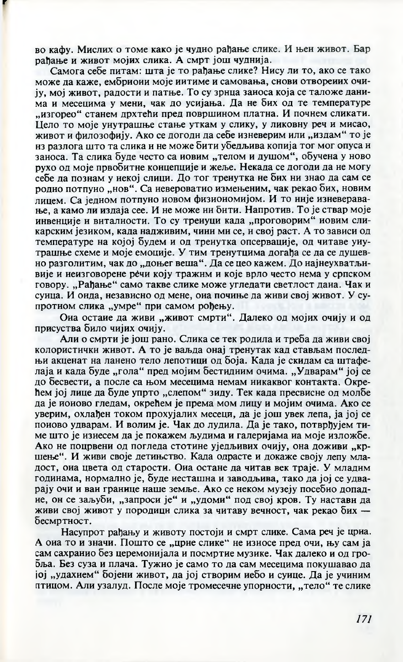во кафу. Мислих о томе како је чудно рађање слике. И њен живот. Бар рађање и живот мојих слика. А смрт још чуднија.

Самога себе питам: шта је то рађање слике? Нису ли то, ако се тако може да каже, ембриоии моје иитиме и самовања, снови отворених очиіу, моі живот, ралости и патње. То су зрнца заноса која се таложе данима и месецима у мени, чак до усијања. Да не бих од те температуре "изгорео" станем дрхтећи пред површином платна. И почнем сликати. Цело то моје унутрашње стање уткам у слику, у ликовну реч и мисао, живот и филозофију. Ако се догодн да себе изневерим или "издам" то је нз разлога што та слика н не може бити убелљива копија тог мог опуса н заноса. Та слика буле често са иовим "телом и лушом", обучена у ново рухо од моје првобитне концепције и жеље. Некада се догоди да не могу себе да познам у некој слици. До тог тренутка не бих ни знао да сам се родно потпуно "нов". Са невероватно измењеним, чак рекао бих, новим лицем. Са једном потпуно новом физиономијом. И то ннје изневеравање, а камо ли издаја сее. И не може ни бити. Напротив. То је ствар моје инвенције и внталности. То су тренуци када "проговорим" новим сликарским језиком, када надживим, чинн мн се, н свој раст. А то зависи од температуре на којој будем и од тренутка опсервације, од читаве унутрашње схеме и моје емоције. У тим тренутцима догађа се да се душевно разголнтим, чак до "доњег веша". Да се цео кажем. До најнеухватљивије и неизговорене речи коју тражнм и које врло често нема у српском говору. "Раћање" само такве слике може углелати светлост лана. Чак и сунца. И онла, независно ол мене, она почиње ла живи свој живот. У супротном слика "умре" при самом роћењу.

Она остаие да живи "живот смрти". Далеко од мојих очију и од присуства било чиіих очніу.

Али о смрти је још рано. Слика се тек родила и треба да живи свој колористнчки жнвот. А то је ваљда онај тренутак кад стављам последњи акценат на ланено тело лепотици од боја. Када је скидам са штафелаја и када буде "гола" пред мојим бестидним очима. "Удварам" јој се до бесвести, а после са њом месецима немам никаквог контакта. Окрећем јој лице да буде упрто "слепом" зиду. Тек када пресвисне од молбе да је поново гледам, окрећем је према мом лицу и мојим очима. Ако се уверим, охлађен током прохујалих месеци, да је још увек лепа, ја јој се поново удварам. И волим је. Чак до лудила. Да је тако, потврћујем тиме што је нзнесем да је покажем људима и галеријама иа моје изложбе. Ако не поцрвени од погледа стотине уједљивих очију, она доживи "кршење". И живи своје детињство. Када одрасте и докаже своју лепу младост, она цвета од старости. Она остане да читав век траје. У младнм годинама, нормално је, буде несташна и заводљива, тако да јој се удварају очи и ван границе наше земље. Ако се неком музеју посебно допадне, он се заљуби, "запроси је" и "удоми" под свој кров. Ту наставн да живи свој живот у породици слика за читаву вечност, чак рекао бих бесмртност.

Насупрот рађању и животу постоји и смрт слике. Сама реч је црна. А она то и значи. Пошто се "црне слике" не износе пред очи, њу сам ја сам сахранио без церемонијала и посмртие музике. Чак далеко и од гробља. Без суза и плача. Тужно је само то да сам месецима покушавао да јој "удахнем" бојени живот, да јој створим иебо и суице. Да је учиним птицом. Али узалуд. После моје тромесечне упорности, "тело" те слике